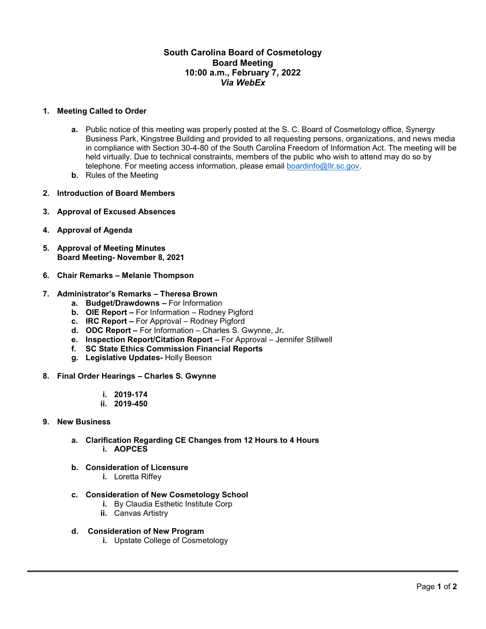## **South Carolina Board of Cosmetology Board Meeting 10:00 a.m., February 7, 2022** *Via WebEx*

#### **1. Meeting Called to Order**

- **a.** Public notice of this meeting was properly posted at the S. C. Board of Cosmetology office, Synergy Business Park, Kingstree Building and provided to all requesting persons, organizations, and news media in compliance with Section 30-4-80 of the South Carolina Freedom of Information Act. The meeting will be held virtually. Due to technical constraints, members of the public who wish to attend may do so by telephone. For meeting access information, please email [boardinfo@llr.sc.gov.](mailto:boardinfo@llr.sc.gov)
- **b.** Rules of the Meeting
- **2. Introduction of Board Members**
- **3. Approval of Excused Absences**
- **4. Approval of Agenda**
- **5. Approval of Meeting Minutes Board Meeting- November 8, 2021**
- **6. Chair Remarks – Melanie Thompson**

#### **7. Administrator's Remarks – Theresa Brown**

- **a. Budget/Drawdowns –** For Information
- **b. OIE Report –** For Information Rodney Pigford
- **c. IRC Report –** For Approval Rodney Pigford
- **d. ODC Report –** For Information Charles S. Gwynne, Jr**.**
- **e. Inspection Report/Citation Report –** For Approval Jennifer Stillwell
- **f. SC State Ethics Commission Financial Reports**
- **g. Legislative Updates-** Holly Beeson
- **8. Final Order Hearings – Charles S. Gwynne**
	- **i. 2019-174**
	- **ii. 2019-450**

#### **9. New Business**

- **a. Clarification Regarding CE Changes from 12 Hours to 4 Hours i. AOPCES**
- **b. Consideration of Licensure**
	- **i.** Loretta Riffey
- **c. Consideration of New Cosmetology School**
	- **i.** By Claudia Esthetic Institute Corp
	- **ii.** Canvas Artistry
- **d. Consideration of New Program**
	- **i.** Upstate College of Cosmetology